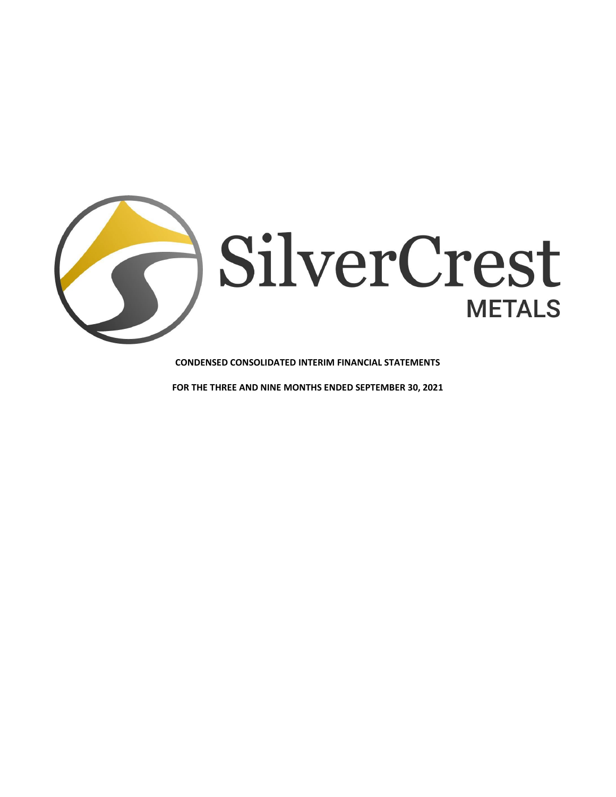

**CONDENSED CONSOLIDATED INTERIM FINANCIAL STATEMENTS** 

**FOR THE THREE AND NINE MONTHS ENDED SEPTEMBER 30, 2021**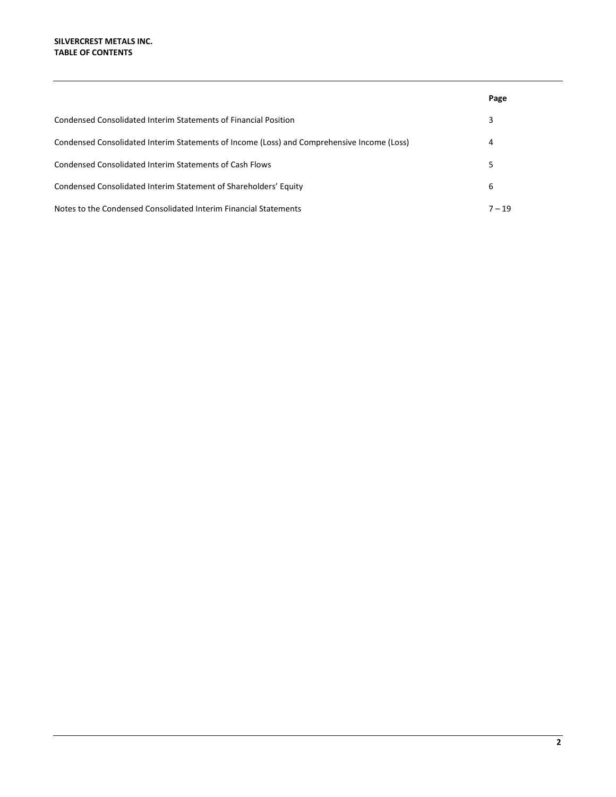|                                                                                            | Page     |
|--------------------------------------------------------------------------------------------|----------|
| Condensed Consolidated Interim Statements of Financial Position                            | 3        |
| Condensed Consolidated Interim Statements of Income (Loss) and Comprehensive Income (Loss) | 4        |
| Condensed Consolidated Interim Statements of Cash Flows                                    |          |
| Condensed Consolidated Interim Statement of Shareholders' Equity                           | 6        |
| Notes to the Condensed Consolidated Interim Financial Statements                           | $7 - 19$ |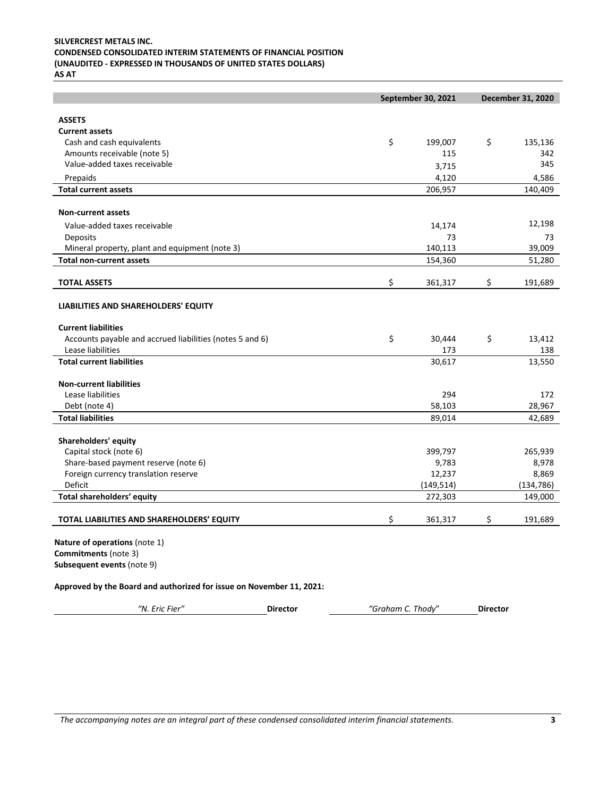# **SILVERCREST METALS INC. CONDENSED CONSOLIDATED INTERIM STATEMENTS OF FINANCIAL POSITION (UNAUDITED - EXPRESSED IN THOUSANDS OF UNITED STATES DOLLARS)**

**AS AT** 

|                                                                      | September 30, 2021 | <b>December 31, 2020</b> |            |  |
|----------------------------------------------------------------------|--------------------|--------------------------|------------|--|
| <b>ASSETS</b>                                                        |                    |                          |            |  |
| <b>Current assets</b>                                                |                    |                          |            |  |
| Cash and cash equivalents                                            | \$<br>199,007      | \$                       | 135,136    |  |
| Amounts receivable (note 5)                                          | 115                |                          | 342        |  |
| Value-added taxes receivable                                         | 3,715              |                          | 345        |  |
| Prepaids                                                             | 4,120              |                          | 4,586      |  |
| <b>Total current assets</b>                                          | 206,957            |                          | 140,409    |  |
|                                                                      |                    |                          |            |  |
| <b>Non-current assets</b>                                            |                    |                          |            |  |
| Value-added taxes receivable                                         | 14,174             |                          | 12,198     |  |
| Deposits                                                             | 73                 |                          | 73         |  |
| Mineral property, plant and equipment (note 3)                       | 140,113            |                          | 39,009     |  |
| <b>Total non-current assets</b>                                      | 154,360            |                          | 51,280     |  |
|                                                                      |                    |                          |            |  |
| <b>TOTAL ASSETS</b>                                                  | \$<br>361,317      | \$                       | 191,689    |  |
| LIABILITIES AND SHAREHOLDERS' EQUITY                                 |                    |                          |            |  |
|                                                                      |                    |                          |            |  |
| <b>Current liabilities</b>                                           |                    |                          |            |  |
| Accounts payable and accrued liabilities (notes 5 and 6)             | \$<br>30,444       | \$                       | 13,412     |  |
| Lease liabilities                                                    | 173                |                          | 138        |  |
| <b>Total current liabilities</b>                                     | 30,617             |                          | 13,550     |  |
| <b>Non-current liabilities</b>                                       |                    |                          |            |  |
| Lease liabilities                                                    | 294                |                          | 172        |  |
| Debt (note 4)                                                        | 58,103             |                          | 28,967     |  |
| <b>Total liabilities</b>                                             | 89,014             |                          | 42,689     |  |
|                                                                      |                    |                          |            |  |
| Shareholders' equity                                                 |                    |                          |            |  |
| Capital stock (note 6)                                               | 399,797            |                          | 265,939    |  |
| Share-based payment reserve (note 6)                                 | 9,783              |                          | 8,978      |  |
| Foreign currency translation reserve                                 | 12,237             |                          | 8,869      |  |
| Deficit                                                              | (149, 514)         |                          | (134, 786) |  |
| Total shareholders' equity                                           | 272,303            |                          | 149,000    |  |
| TOTAL LIABILITIES AND SHAREHOLDERS' EQUITY                           | \$<br>361,317      | \$                       | 191,689    |  |
|                                                                      |                    |                          |            |  |
| Nature of operations (note 1)                                        |                    |                          |            |  |
| Commitments (note 3)                                                 |                    |                          |            |  |
| Subsequent events (note 9)                                           |                    |                          |            |  |
| Approved by the Board and authorized for issue on November 11, 2021: |                    |                          |            |  |
|                                                                      |                    |                          |            |  |
| "N. Eric Fier"<br><b>Director</b>                                    | "Graham C. Thody"  | <b>Director</b>          |            |  |

*The accompanying notes are an integral part of these condensed consolidated interim financial statements.* **3**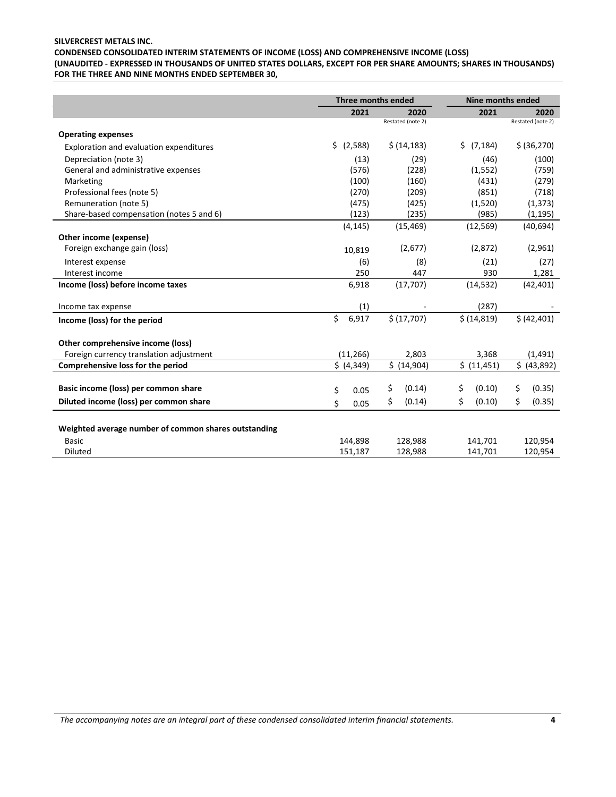# **SILVERCREST METALS INC. CONDENSED CONSOLIDATED INTERIM STATEMENTS OF INCOME (LOSS) AND COMPREHENSIVE INCOME (LOSS) (UNAUDITED - EXPRESSED IN THOUSANDS OF UNITED STATES DOLLARS, EXCEPT FOR PER SHARE AMOUNTS; SHARES IN THOUSANDS) FOR THE THREE AND NINE MONTHS ENDED SEPTEMBER 30,**

|                                                      | Three months ended |                   | <b>Nine months ended</b> |                   |
|------------------------------------------------------|--------------------|-------------------|--------------------------|-------------------|
|                                                      | 2021               | 2020              | 2021                     | 2020              |
|                                                      |                    | Restated (note 2) |                          | Restated (note 2) |
| <b>Operating expenses</b>                            |                    |                   |                          |                   |
| Exploration and evaluation expenditures              | \$<br>(2,588)      | \$ (14, 183)      | Ś.<br>(7, 184)           | \$ (36,270)       |
| Depreciation (note 3)                                | (13)               | (29)              | (46)                     | (100)             |
| General and administrative expenses                  | (576)              | (228)             | (1, 552)                 | (759)             |
| Marketing                                            | (100)              | (160)             | (431)                    | (279)             |
| Professional fees (note 5)                           | (270)              | (209)             | (851)                    | (718)             |
| Remuneration (note 5)                                | (475)              | (425)             | (1,520)                  | (1, 373)          |
| Share-based compensation (notes 5 and 6)             | (123)              | (235)             | (985)                    | (1, 195)          |
|                                                      | (4, 145)           | (15, 469)         | (12, 569)                | (40, 694)         |
| Other income (expense)                               |                    |                   |                          |                   |
| Foreign exchange gain (loss)                         | 10,819             | (2,677)           | (2,872)                  | (2,961)           |
| Interest expense                                     | (6)                | (8)               | (21)                     | (27)              |
| Interest income                                      | 250                | 447               | 930                      | 1,281             |
| Income (loss) before income taxes                    | 6,918              | (17,707)          | (14, 532)                | (42, 401)         |
|                                                      |                    |                   |                          |                   |
| Income tax expense                                   | (1)                |                   | (287)                    |                   |
| Income (loss) for the period                         | \$<br>6,917        | \$(17,707)        | \$ (14, 819)             | \$ (42, 401)      |
|                                                      |                    |                   |                          |                   |
| Other comprehensive income (loss)                    |                    |                   |                          |                   |
| Foreign currency translation adjustment              | (11, 266)          | 2,803             | 3,368                    | (1, 491)          |
| Comprehensive loss for the period                    | \$ (4,349)         | \$ (14,904)       | \$ (11, 451)             | \$ (43,892)       |
|                                                      |                    |                   |                          |                   |
| Basic income (loss) per common share                 | \$<br>0.05         | \$<br>(0.14)      | \$<br>(0.10)             | \$<br>(0.35)      |
| Diluted income (loss) per common share               | \$<br>0.05         | \$<br>(0.14)      | Ś.<br>(0.10)             | \$<br>(0.35)      |
|                                                      |                    |                   |                          |                   |
| Weighted average number of common shares outstanding |                    |                   |                          |                   |
| <b>Basic</b>                                         | 144,898            | 128,988           | 141,701                  | 120,954           |
| <b>Diluted</b>                                       | 151,187            | 128,988           | 141,701                  | 120,954           |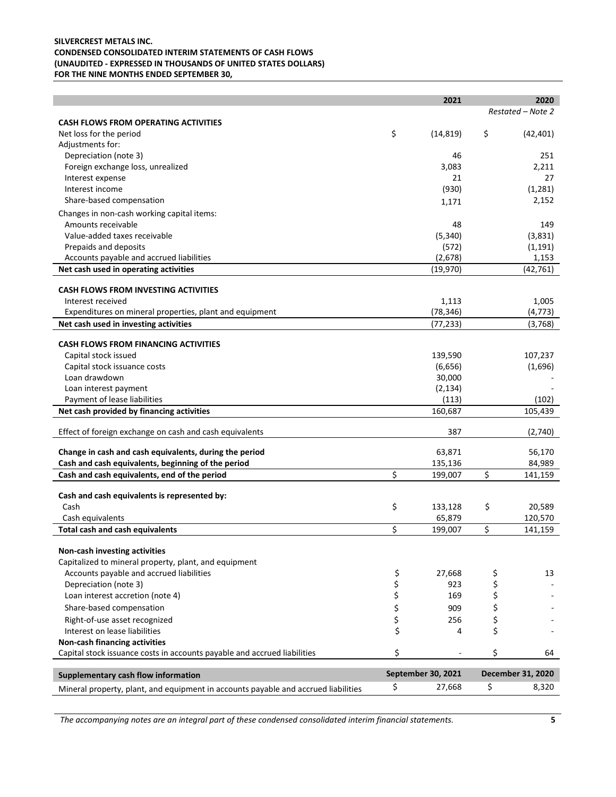# **SILVERCREST METALS INC. CONDENSED CONSOLIDATED INTERIM STATEMENTS OF CASH FLOWS (UNAUDITED - EXPRESSED IN THOUSANDS OF UNITED STATES DOLLARS) FOR THE NINE MONTHS ENDED SEPTEMBER 30,**

|                                                                                    |          | 2021               | 2020              |
|------------------------------------------------------------------------------------|----------|--------------------|-------------------|
|                                                                                    |          |                    | Restated - Note 2 |
| <b>CASH FLOWS FROM OPERATING ACTIVITIES</b>                                        |          |                    |                   |
| Net loss for the period                                                            | \$       | (14, 819)          | \$<br>(42, 401)   |
| Adjustments for:                                                                   |          |                    |                   |
| Depreciation (note 3)                                                              |          | 46                 | 251               |
| Foreign exchange loss, unrealized                                                  |          | 3,083              | 2,211             |
| Interest expense                                                                   |          | 21                 | 27                |
| Interest income                                                                    |          | (930)              | (1, 281)          |
| Share-based compensation                                                           |          | 1,171              | 2,152             |
| Changes in non-cash working capital items:                                         |          |                    |                   |
| Amounts receivable                                                                 |          | 48                 | 149               |
| Value-added taxes receivable                                                       |          | (5, 340)           | (3,831)           |
| Prepaids and deposits                                                              |          | (572)              | (1, 191)          |
| Accounts payable and accrued liabilities                                           |          | (2,678)            | 1,153             |
| Net cash used in operating activities                                              |          | (19,970)           | (42, 761)         |
|                                                                                    |          |                    |                   |
| <b>CASH FLOWS FROM INVESTING ACTIVITIES</b>                                        |          |                    |                   |
| Interest received                                                                  |          | 1,113              | 1,005             |
| Expenditures on mineral properties, plant and equipment                            |          | (78, 346)          | (4, 773)          |
| Net cash used in investing activities                                              |          | (77, 233)          | (3,768)           |
| <b>CASH FLOWS FROM FINANCING ACTIVITIES</b>                                        |          |                    |                   |
| Capital stock issued                                                               |          | 139,590            | 107,237           |
| Capital stock issuance costs                                                       |          | (6,656)            | (1,696)           |
| Loan drawdown                                                                      |          | 30,000             |                   |
| Loan interest payment                                                              |          | (2, 134)           |                   |
| Payment of lease liabilities                                                       |          | (113)              | (102)             |
| Net cash provided by financing activities                                          |          | 160,687            | 105,439           |
|                                                                                    |          |                    |                   |
| Effect of foreign exchange on cash and cash equivalents                            |          | 387                | (2,740)           |
| Change in cash and cash equivalents, during the period                             |          | 63,871             | 56,170            |
| Cash and cash equivalents, beginning of the period                                 |          | 135,136            | 84,989            |
| Cash and cash equivalents, end of the period                                       | \$       | 199,007            | \$<br>141,159     |
|                                                                                    |          |                    |                   |
| Cash and cash equivalents is represented by:                                       |          |                    |                   |
| Cash                                                                               | \$       | 133,128            | \$<br>20,589      |
| Cash equivalents                                                                   |          | 65,879             | 120,570           |
| <b>Total cash and cash equivalents</b>                                             | \$       | 199,007            | \$<br>141,159     |
|                                                                                    |          |                    |                   |
| Non-cash investing activities                                                      |          |                    |                   |
| Capitalized to mineral property, plant, and equipment                              |          |                    |                   |
| Accounts payable and accrued liabilities                                           | \$       | 27,668             | \$<br>13          |
| Depreciation (note 3)                                                              | \$       | 923                | \$                |
| Loan interest accretion (note 4)                                                   | \$       | 169                | \$                |
| Share-based compensation                                                           | \$<br>\$ | 909                | \$                |
| Right-of-use asset recognized                                                      |          | 256                | \$                |
| Interest on lease liabilities                                                      | \$       | 4                  | \$                |
| Non-cash financing activities                                                      |          |                    |                   |
| Capital stock issuance costs in accounts payable and accrued liabilities           | \$       |                    | \$<br>64          |
|                                                                                    |          |                    |                   |
| Supplementary cash flow information                                                |          | September 30, 2021 | December 31, 2020 |
| Mineral property, plant, and equipment in accounts payable and accrued liabilities | \$       | 27,668             | \$<br>8,320       |

*The accompanying notes are an integral part of these condensed consolidated interim financial statements.* **5**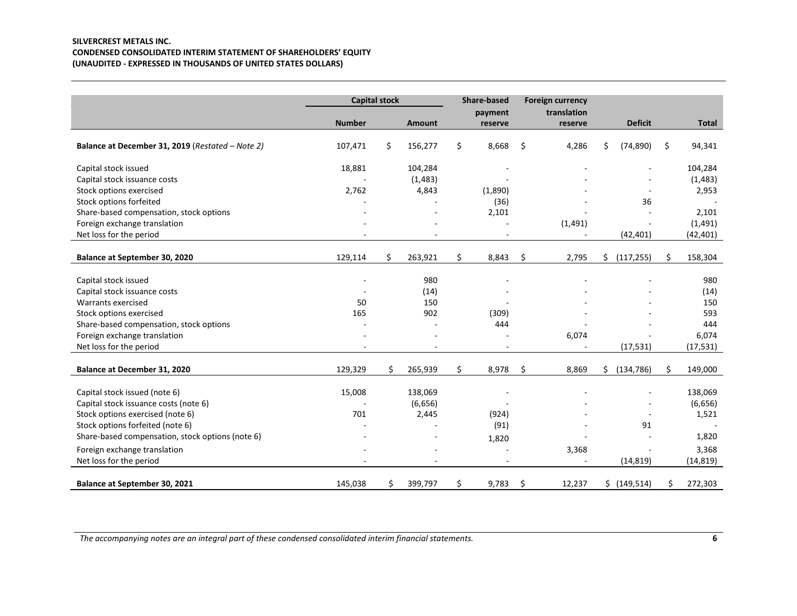# **SILVERCREST METALS INC. CONDENSED CONSOLIDATED INTERIM STATEMENT OF SHAREHOLDERS' EQUITY (UNAUDITED - EXPRESSED IN THOUSANDS OF UNITED STATES DOLLARS)**

|                                                  | <b>Capital stock</b> |    |                          | <b>Share-based</b> | <b>Foreign currency</b> |    |                |               |
|--------------------------------------------------|----------------------|----|--------------------------|--------------------|-------------------------|----|----------------|---------------|
|                                                  |                      |    |                          | payment            | translation             |    |                |               |
|                                                  | <b>Number</b>        |    | <b>Amount</b>            | reserve            | reserve                 |    | <b>Deficit</b> | Total         |
| Balance at December 31, 2019 (Restated - Note 2) | 107,471              | \$ | 156,277                  | \$<br>8,668        | \$<br>4,286             | \$ | (74, 890)      | \$<br>94,341  |
| Capital stock issued                             | 18,881               |    | 104,284                  |                    |                         |    |                | 104,284       |
| Capital stock issuance costs                     |                      |    | (1, 483)                 |                    |                         |    |                | (1, 483)      |
| Stock options exercised                          | 2,762                |    | 4,843                    | (1,890)            |                         |    |                | 2,953         |
| Stock options forfeited                          |                      |    |                          | (36)               |                         |    | 36             |               |
| Share-based compensation, stock options          |                      |    |                          | 2,101              |                         |    |                | 2,101         |
| Foreign exchange translation                     |                      |    |                          |                    | (1, 491)                |    |                | (1,491)       |
| Net loss for the period                          |                      |    |                          |                    |                         |    | (42, 401)      | (42,401)      |
|                                                  |                      |    |                          |                    |                         |    |                |               |
| Balance at September 30, 2020                    | 129,114              | \$ | 263,921                  | \$<br>8,843        | \$<br>2,795             | Ś. | (117, 255)     | \$<br>158,304 |
|                                                  |                      |    |                          |                    |                         |    |                |               |
| Capital stock issued                             |                      |    | 980                      |                    |                         |    |                | 980           |
| Capital stock issuance costs                     |                      |    | (14)                     |                    |                         |    |                | (14)          |
| Warrants exercised                               | 50                   |    | 150                      |                    |                         |    |                | 150           |
| Stock options exercised                          | 165                  |    | 902                      | (309)              |                         |    |                | 593           |
| Share-based compensation, stock options          |                      |    |                          | 444                |                         |    |                | 444           |
| Foreign exchange translation                     |                      |    |                          |                    | 6,074                   |    |                | 6,074         |
| Net loss for the period                          |                      |    | $\overline{\phantom{a}}$ |                    |                         |    | (17, 531)      | (17, 531)     |
| Balance at December 31, 2020                     | 129,329              | Ś. | 265,939                  | \$<br>8,978        | \$<br>8,869             | Ś. | (134, 786)     | \$<br>149,000 |
| Capital stock issued (note 6)                    | 15,008               |    | 138,069                  |                    |                         |    |                | 138,069       |
| Capital stock issuance costs (note 6)            |                      |    | (6,656)                  |                    |                         |    |                | (6,656)       |
| Stock options exercised (note 6)                 | 701                  |    | 2,445                    | (924)              |                         |    |                | 1,521         |
| Stock options forfeited (note 6)                 |                      |    |                          | (91)               |                         |    | 91             |               |
| Share-based compensation, stock options (note 6) |                      |    |                          |                    |                         |    |                | 1,820         |
|                                                  |                      |    |                          | 1,820              |                         |    |                |               |
| Foreign exchange translation                     |                      |    |                          |                    | 3,368                   |    |                | 3,368         |
| Net loss for the period                          |                      |    |                          |                    |                         |    | (14, 819)      | (14, 819)     |
| Balance at September 30, 2021                    | 145,038              | \$ | 399,797                  | \$<br>9,783        | \$<br>12,237            | Ś. | (149, 514)     | \$<br>272,303 |

*The accompanying notes are an integral part of these condensed consolidated interim financial statements.* **6**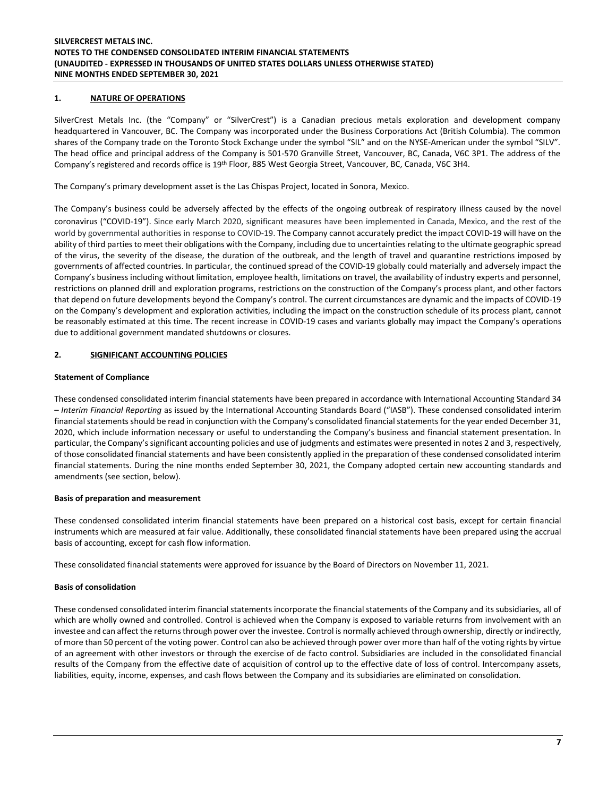# **1. NATURE OF OPERATIONS**

SilverCrest Metals Inc. (the "Company" or "SilverCrest") is a Canadian precious metals exploration and development company headquartered in Vancouver, BC. The Company was incorporated under the Business Corporations Act (British Columbia). The common shares of the Company trade on the Toronto Stock Exchange under the symbol "SIL" and on the NYSE-American under the symbol "SILV". The head office and principal address of the Company is 501-570 Granville Street, Vancouver, BC, Canada, V6C 3P1. The address of the Company's registered and records office is 19th Floor, 885 West Georgia Street, Vancouver, BC, Canada, V6C 3H4.

The Company's primary development asset is the Las Chispas Project, located in Sonora, Mexico.

The Company's business could be adversely affected by the effects of the ongoing outbreak of respiratory illness caused by the novel coronavirus ("COVID-19"). Since early March 2020, significant measures have been implemented in Canada, Mexico, and the rest of the world by governmental authorities in response to COVID-19. The Company cannot accurately predict the impact COVID-19 will have on the ability of third parties to meet their obligations with the Company, including due to uncertainties relating to the ultimate geographic spread of the virus, the severity of the disease, the duration of the outbreak, and the length of travel and quarantine restrictions imposed by governments of affected countries. In particular, the continued spread of the COVID-19 globally could materially and adversely impact the Company's business including without limitation, employee health, limitations on travel, the availability of industry experts and personnel, restrictions on planned drill and exploration programs, restrictions on the construction of the Company's process plant, and other factors that depend on future developments beyond the Company's control. The current circumstances are dynamic and the impacts of COVID-19 on the Company's development and exploration activities, including the impact on the construction schedule of its process plant, cannot be reasonably estimated at this time. The recent increase in COVID-19 cases and variants globally may impact the Company's operations due to additional government mandated shutdowns or closures.

# **2. SIGNIFICANT ACCOUNTING POLICIES**

## **Statement of Compliance**

These condensed consolidated interim financial statements have been prepared in accordance with International Accounting Standard 34 – *Interim Financial Reporting* as issued by the International Accounting Standards Board ("IASB"). These condensed consolidated interim financial statements should be read in conjunction with the Company's consolidated financial statements for the year ended December 31, 2020, which include information necessary or useful to understanding the Company's business and financial statement presentation. In particular, the Company's significant accounting policies and use of judgments and estimates were presented in notes 2 and 3, respectively, of those consolidated financial statements and have been consistently applied in the preparation of these condensed consolidated interim financial statements. During the nine months ended September 30, 2021, the Company adopted certain new accounting standards and amendments (see section, below).

# **Basis of preparation and measurement**

These condensed consolidated interim financial statements have been prepared on a historical cost basis, except for certain financial instruments which are measured at fair value. Additionally, these consolidated financial statements have been prepared using the accrual basis of accounting, except for cash flow information.

These consolidated financial statements were approved for issuance by the Board of Directors on November 11, 2021.

# **Basis of consolidation**

These condensed consolidated interim financial statements incorporate the financial statements of the Company and its subsidiaries, all of which are wholly owned and controlled. Control is achieved when the Company is exposed to variable returns from involvement with an investee and can affect the returns through power over the investee. Control is normally achieved through ownership, directly or indirectly, of more than 50 percent of the voting power. Control can also be achieved through power over more than half of the voting rights by virtue of an agreement with other investors or through the exercise of de facto control. Subsidiaries are included in the consolidated financial results of the Company from the effective date of acquisition of control up to the effective date of loss of control. Intercompany assets, liabilities, equity, income, expenses, and cash flows between the Company and its subsidiaries are eliminated on consolidation.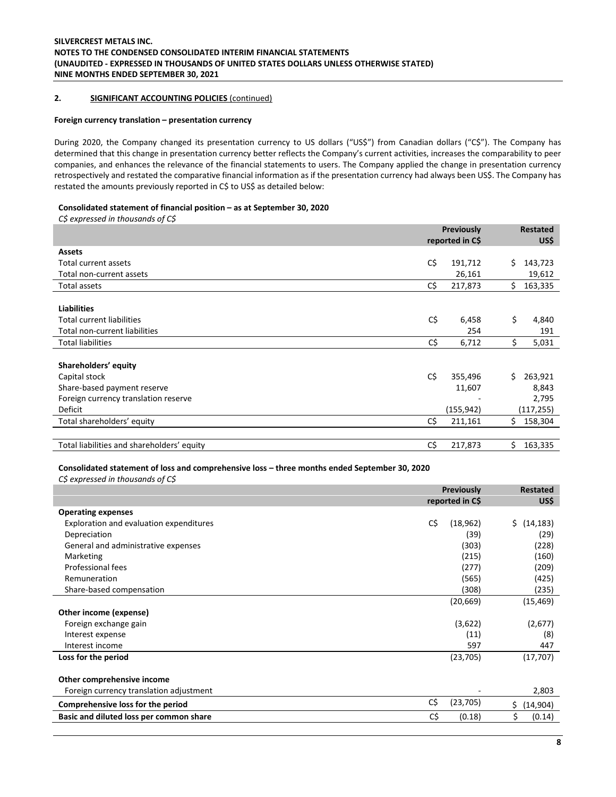# **2. SIGNIFICANT ACCOUNTING POLICIES** (continued)

## **Foreign currency translation – presentation currency**

During 2020, the Company changed its presentation currency to US dollars ("US\$") from Canadian dollars ("C\$"). The Company has determined that this change in presentation currency better reflects the Company's current activities, increases the comparability to peer companies, and enhances the relevance of the financial statements to users. The Company applied the change in presentation currency retrospectively and restated the comparative financial information as if the presentation currency had always been US\$. The Company has restated the amounts previously reported in C\$ to US\$ as detailed below:

#### **Consolidated statement of financial position – as at September 30, 2020**

*C\$ expressed in thousands of C\$*

|                                            | Previously<br>reported in C\$ |            |     | <b>Restated</b><br>US\$ |  |
|--------------------------------------------|-------------------------------|------------|-----|-------------------------|--|
| <b>Assets</b>                              |                               |            |     |                         |  |
| Total current assets                       | C\$                           | 191,712    | \$. | 143,723                 |  |
| Total non-current assets                   |                               | 26,161     |     | 19,612                  |  |
| Total assets                               | C\$                           | 217,873    | \$  | 163,335                 |  |
|                                            |                               |            |     |                         |  |
| <b>Liabilities</b>                         |                               |            |     |                         |  |
| <b>Total current liabilities</b>           | C\$                           | 6,458      | \$  | 4,840                   |  |
| Total non-current liabilities              |                               | 254        |     | 191                     |  |
| <b>Total liabilities</b>                   | C\$                           | 6,712      | \$  | 5,031                   |  |
|                                            |                               |            |     |                         |  |
| Shareholders' equity                       |                               |            |     |                         |  |
| Capital stock                              | C\$                           | 355,496    | \$  | 263,921                 |  |
| Share-based payment reserve                |                               | 11,607     |     | 8,843                   |  |
| Foreign currency translation reserve       |                               |            |     | 2,795                   |  |
| Deficit                                    |                               | (155, 942) |     | (117, 255)              |  |
| Total shareholders' equity                 | C\$                           | 211,161    | Ś.  | 158,304                 |  |
|                                            |                               |            |     |                         |  |
| Total liabilities and shareholders' equity | C\$                           | 217,873    | \$  | 163,335                 |  |

## **Consolidated statement of loss and comprehensive loss – three months ended September 30, 2020**

*C\$ expressed in thousands of C\$*

|                                         |     | <b>Previously</b><br>reported in C\$ |     | Restated<br>US\$ |
|-----------------------------------------|-----|--------------------------------------|-----|------------------|
| <b>Operating expenses</b>               |     |                                      |     |                  |
| Exploration and evaluation expenditures | C\$ | (18, 962)                            | Ś.  | (14, 183)        |
| Depreciation                            |     | (39)                                 |     | (29)             |
| General and administrative expenses     |     | (303)                                |     | (228)            |
| Marketing                               |     | (215)                                |     | (160)            |
| Professional fees                       |     | (277)                                |     | (209)            |
| Remuneration                            |     | (565)                                |     | (425)            |
| Share-based compensation                |     | (308)                                |     | (235)            |
|                                         |     | (20, 669)                            |     | (15, 469)        |
| Other income (expense)                  |     |                                      |     |                  |
| Foreign exchange gain                   |     | (3,622)                              |     | (2,677)          |
| Interest expense                        |     | (11)                                 |     | (8)              |
| Interest income                         |     | 597                                  |     | 447              |
| Loss for the period                     |     | (23, 705)                            |     | (17, 707)        |
|                                         |     |                                      |     |                  |
| Other comprehensive income              |     |                                      |     |                  |
| Foreign currency translation adjustment |     |                                      |     | 2,803            |
| Comprehensive loss for the period       | C\$ | (23, 705)                            | \$. | (14,904)         |
| Basic and diluted loss per common share | C\$ | (0.18)                               | \$  | (0.14)           |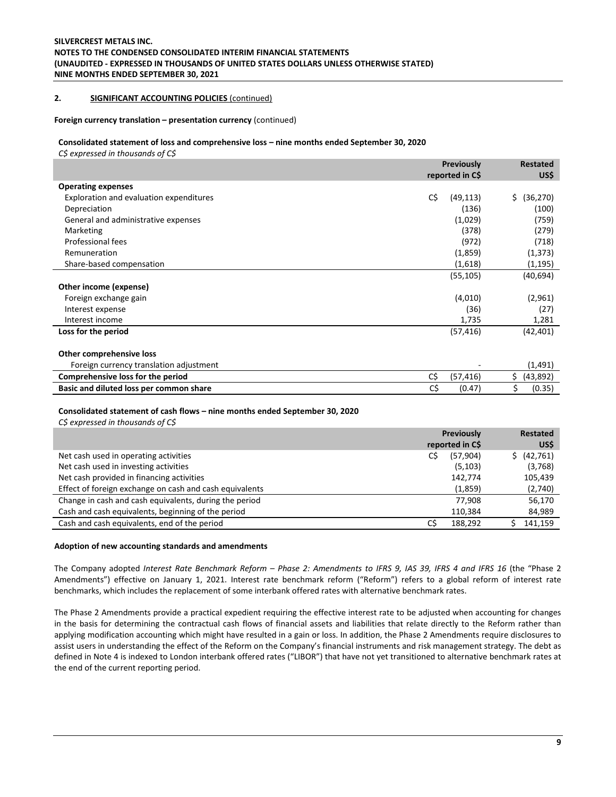## **2. SIGNIFICANT ACCOUNTING POLICIES** (continued)

### **Foreign currency translation – presentation currency** (continued)

#### **Consolidated statement of loss and comprehensive loss – nine months ended September 30, 2020**

*C\$ expressed in thousands of C\$*

|                                                                             | Previously<br>reported in C\$ | <b>Restated</b><br>US\$ |
|-----------------------------------------------------------------------------|-------------------------------|-------------------------|
| <b>Operating expenses</b>                                                   |                               |                         |
| Exploration and evaluation expenditures                                     | C\$<br>(49, 113)              | (36, 270)<br>\$.        |
| Depreciation                                                                | (136)                         | (100)                   |
| General and administrative expenses                                         | (1,029)                       | (759)                   |
| Marketing                                                                   | (378)                         | (279)                   |
| Professional fees                                                           | (972)                         | (718)                   |
| Remuneration                                                                | (1,859)                       | (1, 373)                |
| Share-based compensation                                                    | (1,618)                       | (1,195)                 |
|                                                                             | (55, 105)                     | (40, 694)               |
| Other income (expense)                                                      |                               |                         |
| Foreign exchange gain                                                       | (4,010)                       | (2,961)                 |
| Interest expense                                                            | (36)                          | (27)                    |
| Interest income                                                             | 1,735                         | 1,281                   |
| Loss for the period                                                         | (57, 416)                     | (42, 401)               |
|                                                                             |                               |                         |
| Other comprehensive loss                                                    |                               |                         |
| Foreign currency translation adjustment                                     |                               | (1, 491)                |
| Comprehensive loss for the period                                           | C\$<br>(57, 416)              | \$<br>(43,892)          |
| Basic and diluted loss per common share                                     | C\$<br>(0.47)                 | \$<br>(0.35)            |
|                                                                             |                               |                         |
| Consolidated statement of cash flows – nine months ended September 30, 2020 |                               |                         |
| CS expressed in thousands of CS                                             |                               |                         |

|                                                         |     | Previously<br>reported in C\$ | Restated<br>US\$ |
|---------------------------------------------------------|-----|-------------------------------|------------------|
| Net cash used in operating activities                   | C\$ | (57, 904)                     | (42, 761)        |
| Net cash used in investing activities                   |     | (5, 103)                      | (3,768)          |
| Net cash provided in financing activities               |     | 142,774                       | 105,439          |
| Effect of foreign exchange on cash and cash equivalents |     | (1,859)                       | (2,740)          |
| Change in cash and cash equivalents, during the period  |     | 77.908                        | 56,170           |
| Cash and cash equivalents, beginning of the period      |     | 110,384                       | 84,989           |
| Cash and cash equivalents, end of the period            | C\$ | 188.292                       | 141,159          |

#### **Adoption of new accounting standards and amendments**

The Company adopted *Interest Rate Benchmark Reform – Phase 2: Amendments to IFRS 9, IAS 39, IFRS 4 and IFRS 16* (the "Phase 2 Amendments") effective on January 1, 2021. Interest rate benchmark reform ("Reform") refers to a global reform of interest rate benchmarks, which includes the replacement of some interbank offered rates with alternative benchmark rates.

The Phase 2 Amendments provide a practical expedient requiring the effective interest rate to be adjusted when accounting for changes in the basis for determining the contractual cash flows of financial assets and liabilities that relate directly to the Reform rather than applying modification accounting which might have resulted in a gain or loss. In addition, the Phase 2 Amendments require disclosures to assist users in understanding the effect of the Reform on the Company's financial instruments and risk management strategy. The debt as defined in Note 4 is indexed to London interbank offered rates ("LIBOR") that have not yet transitioned to alternative benchmark rates at the end of the current reporting period.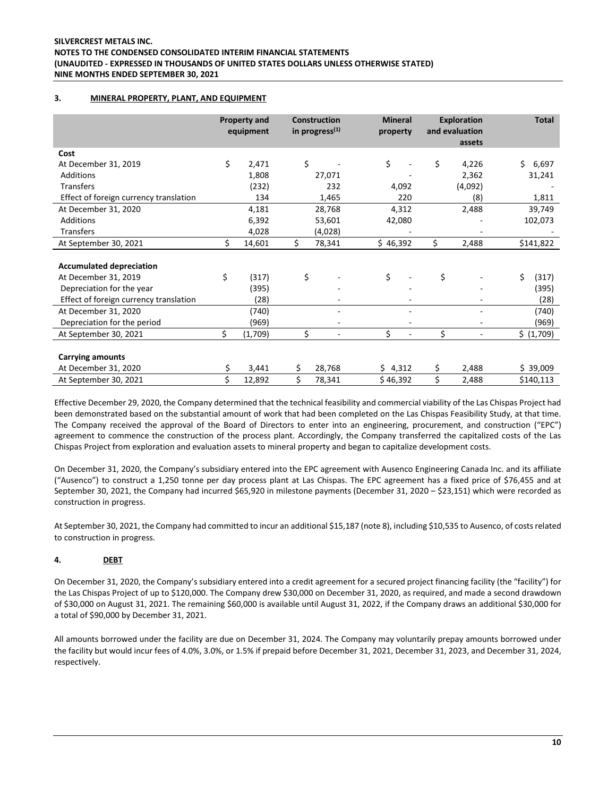# **3. MINERAL PROPERTY, PLANT, AND EQUIPMENT**

|                                        |    | <b>Property and</b><br>equipment |    | <b>Construction</b><br>in progress $(1)$ | <b>Mineral</b><br>property |    | <b>Exploration</b><br>and evaluation<br>assets | <b>Total</b> |
|----------------------------------------|----|----------------------------------|----|------------------------------------------|----------------------------|----|------------------------------------------------|--------------|
| Cost                                   |    |                                  |    |                                          |                            |    |                                                |              |
| At December 31, 2019                   | \$ | 2,471                            | Ś. |                                          | \$                         | \$ | 4,226                                          | \$.<br>6,697 |
| Additions                              |    | 1,808                            |    | 27,071                                   |                            |    | 2,362                                          | 31,241       |
| <b>Transfers</b>                       |    | (232)                            |    | 232                                      | 4,092                      |    | (4,092)                                        |              |
| Effect of foreign currency translation |    | 134                              |    | 1,465                                    | 220                        |    | (8)                                            | 1,811        |
| At December 31, 2020                   |    | 4,181                            |    | 28,768                                   | 4,312                      |    | 2,488                                          | 39,749       |
| <b>Additions</b>                       |    | 6,392                            |    | 53,601                                   | 42,080                     |    |                                                | 102,073      |
| Transfers                              |    | 4,028                            |    | (4,028)                                  |                            |    |                                                |              |
| At September 30, 2021                  | \$ | 14,601                           | \$ | 78,341                                   | \$46,392                   | \$ | 2,488                                          | \$141,822    |
| <b>Accumulated depreciation</b>        |    |                                  |    |                                          |                            |    |                                                |              |
| At December 31, 2019                   | \$ | (317)                            | \$ |                                          | \$                         | \$ |                                                | Ś.<br>(317)  |
| Depreciation for the year              |    | (395)                            |    |                                          |                            |    |                                                | (395)        |
| Effect of foreign currency translation |    | (28)                             |    |                                          |                            |    |                                                | (28)         |
| At December 31, 2020                   |    | (740)                            |    |                                          |                            |    |                                                | (740)        |
| Depreciation for the period            |    | (969)                            |    | $\overline{\phantom{a}}$                 |                            |    |                                                | (969)        |
| At September 30, 2021                  | Ś. | (1,709)                          | Ś. | $\overline{\phantom{a}}$                 | Ś.<br>٠                    | Ś. | $\blacksquare$                                 | \$ (1,709)   |
|                                        |    |                                  |    |                                          |                            |    |                                                |              |
| <b>Carrying amounts</b>                |    |                                  |    |                                          |                            |    |                                                |              |
| At December 31, 2020                   |    | 3,441                            | \$ | 28,768                                   | \$4,312                    | \$ | 2,488                                          | \$39,009     |
| At September 30, 2021                  | \$ | 12,892                           | \$ | 78,341                                   | \$46,392                   | \$ | 2,488                                          | \$140,113    |

Effective December 29, 2020, the Company determined that the technical feasibility and commercial viability of the Las Chispas Project had been demonstrated based on the substantial amount of work that had been completed on the Las Chispas Feasibility Study, at that time. The Company received the approval of the Board of Directors to enter into an engineering, procurement, and construction ("EPC") agreement to commence the construction of the process plant. Accordingly, the Company transferred the capitalized costs of the Las Chispas Project from exploration and evaluation assets to mineral property and began to capitalize development costs.

On December 31, 2020, the Company's subsidiary entered into the EPC agreement with Ausenco Engineering Canada Inc. and its affiliate ("Ausenco") to construct a 1,250 tonne per day process plant at Las Chispas. The EPC agreement has a fixed price of \$76,455 and at September 30, 2021, the Company had incurred \$65,920 in milestone payments (December 31, 2020 – \$23,151) which were recorded as construction in progress.

At September 30, 2021, the Company had committed to incur an additional \$15,187 (note 8), including \$10,535 to Ausenco, of costs related to construction in progress.

# **4. DEBT**

On December 31, 2020, the Company's subsidiary entered into a credit agreement for a secured project financing facility (the "facility") for the Las Chispas Project of up to \$120,000. The Company drew \$30,000 on December 31, 2020, as required, and made a second drawdown of \$30,000 on August 31, 2021. The remaining \$60,000 is available until August 31, 2022, if the Company draws an additional \$30,000 for a total of \$90,000 by December 31, 2021.

All amounts borrowed under the facility are due on December 31, 2024. The Company may voluntarily prepay amounts borrowed under the facility but would incur fees of 4.0%, 3.0%, or 1.5% if prepaid before December 31, 2021, December 31, 2023, and December 31, 2024, respectively.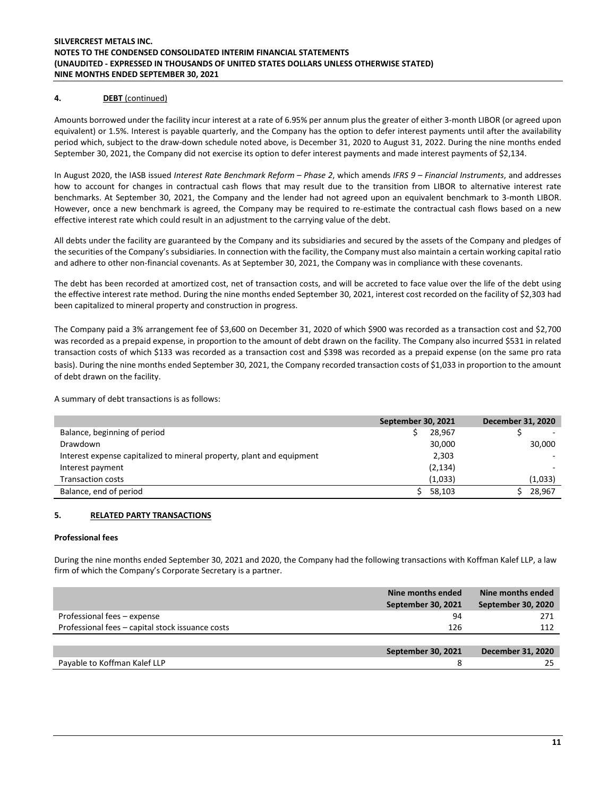# **4. DEBT** (continued)

Amounts borrowed under the facility incur interest at a rate of 6.95% per annum plus the greater of either 3-month LIBOR (or agreed upon equivalent) or 1.5%. Interest is payable quarterly, and the Company has the option to defer interest payments until after the availability period which, subject to the draw-down schedule noted above, is December 31, 2020 to August 31, 2022. During the nine months ended September 30, 2021, the Company did not exercise its option to defer interest payments and made interest payments of \$2,134.

In August 2020, the IASB issued *Interest Rate Benchmark Reform – Phase 2*, which amends *IFRS 9 – Financial Instruments*, and addresses how to account for changes in contractual cash flows that may result due to the transition from LIBOR to alternative interest rate benchmarks. At September 30, 2021, the Company and the lender had not agreed upon an equivalent benchmark to 3-month LIBOR. However, once a new benchmark is agreed, the Company may be required to re-estimate the contractual cash flows based on a new effective interest rate which could result in an adjustment to the carrying value of the debt.

All debts under the facility are guaranteed by the Company and its subsidiaries and secured by the assets of the Company and pledges of the securities of the Company's subsidiaries. In connection with the facility, the Company must also maintain a certain working capital ratio and adhere to other non-financial covenants. As at September 30, 2021, the Company was in compliance with these covenants.

The debt has been recorded at amortized cost, net of transaction costs, and will be accreted to face value over the life of the debt using the effective interest rate method. During the nine months ended September 30, 2021, interest cost recorded on the facility of \$2,303 had been capitalized to mineral property and construction in progress.

The Company paid a 3% arrangement fee of \$3,600 on December 31, 2020 of which \$900 was recorded as a transaction cost and \$2,700 was recorded as a prepaid expense, in proportion to the amount of debt drawn on the facility. The Company also incurred \$531 in related transaction costs of which \$133 was recorded as a transaction cost and \$398 was recorded as a prepaid expense (on the same pro rata basis). During the nine months ended September 30, 2021, the Company recorded transaction costs of \$1,033 in proportion to the amount of debt drawn on the facility.

A summary of debt transactions is as follows:

|                                                                       | <b>September 30, 2021</b> | December 31, 2020 |
|-----------------------------------------------------------------------|---------------------------|-------------------|
| Balance, beginning of period                                          | 28,967                    |                   |
| Drawdown                                                              | 30,000                    | 30,000            |
| Interest expense capitalized to mineral property, plant and equipment | 2,303                     |                   |
| Interest payment                                                      | (2, 134)                  |                   |
| <b>Transaction costs</b>                                              | (1,033)                   | (1,033)           |
| Balance, end of period                                                | 58,103                    | 28,967            |

# **5. RELATED PARTY TRANSACTIONS**

#### **Professional fees**

During the nine months ended September 30, 2021 and 2020, the Company had the following transactions with Koffman Kalef LLP, a law firm of which the Company's Corporate Secretary is a partner.

|                                                  | Nine months ended<br><b>September 30, 2021</b> | Nine months ended<br>September 30, 2020 |
|--------------------------------------------------|------------------------------------------------|-----------------------------------------|
| Professional fees - expense                      | 94                                             | 271                                     |
| Professional fees - capital stock issuance costs | 126                                            | 112                                     |
|                                                  |                                                |                                         |
|                                                  | September 30, 2021                             | December 31, 2020                       |
| Payable to Koffman Kalef LLP                     |                                                |                                         |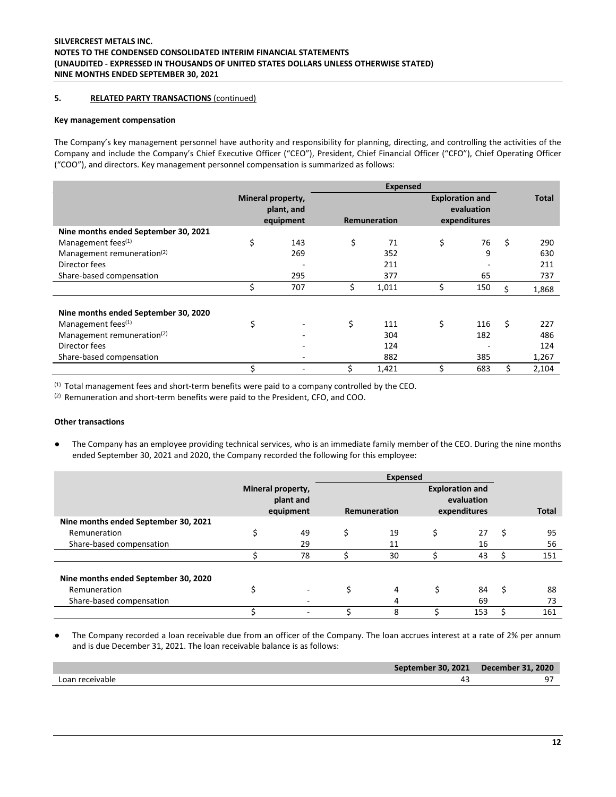# **5. RELATED PARTY TRANSACTIONS** (continued)

#### **Key management compensation**

The Company's key management personnel have authority and responsibility for planning, directing, and controlling the activities of the Company and include the Company's Chief Executive Officer ("CEO"), President, Chief Financial Officer ("CFO"), Chief Operating Officer ("COO"), and directors. Key management personnel compensation is summarized as follows:

|                                        |                                              |     | <b>Expensed</b>     |       |                                                      |     |    |              |
|----------------------------------------|----------------------------------------------|-----|---------------------|-------|------------------------------------------------------|-----|----|--------------|
|                                        | Mineral property,<br>plant, and<br>equipment |     | <b>Remuneration</b> |       | <b>Exploration and</b><br>evaluation<br>expenditures |     |    | <b>Total</b> |
| Nine months ended September 30, 2021   |                                              |     |                     |       |                                                      |     |    |              |
| Management fees $(1)$                  | \$                                           | 143 | \$                  | 71    | \$                                                   | 76  | \$ | 290          |
| Management remuneration <sup>(2)</sup> |                                              | 269 |                     | 352   |                                                      | 9   |    | 630          |
| Director fees                          |                                              |     |                     | 211   |                                                      |     |    | 211          |
| Share-based compensation               |                                              | 295 |                     | 377   |                                                      | 65  |    | 737          |
|                                        |                                              | 707 | \$                  | 1,011 |                                                      | 150 | Ŝ. | 1,868        |
| Nine months ended September 30, 2020   |                                              |     |                     |       |                                                      |     |    |              |
| Management fees <sup>(1)</sup>         | \$                                           |     | \$                  | 111   | \$                                                   | 116 | Ś. | 227          |
| Management remuneration $(2)$          |                                              |     |                     | 304   |                                                      | 182 |    | 486          |
| Director fees                          |                                              |     |                     | 124   |                                                      |     |    | 124          |
| Share-based compensation               |                                              |     |                     | 882   |                                                      | 385 |    | 1,267        |
|                                        |                                              |     | Ś.                  | 1,421 |                                                      | 683 |    | 2,104        |

(1) Total management fees and short-term benefits were paid to a company controlled by the CEO.

(2) Remuneration and short-term benefits were paid to the President, CFO, and COO.

# **Other transactions**

The Company has an employee providing technical services, who is an immediate family member of the CEO. During the nine months ended September 30, 2021 and 2020, the Company recorded the following for this employee:

|                                      | <b>Expensed</b>                             |                          |    |                                                                      |    |     |    |              |
|--------------------------------------|---------------------------------------------|--------------------------|----|----------------------------------------------------------------------|----|-----|----|--------------|
|                                      | Mineral property,<br>plant and<br>equipment |                          |    | <b>Exploration and</b><br>evaluation<br>expenditures<br>Remuneration |    |     |    | <b>Total</b> |
| Nine months ended September 30, 2021 |                                             |                          |    |                                                                      |    |     |    |              |
| Remuneration                         |                                             | 49                       | \$ | 19                                                                   | \$ | 27  | \$ | 95           |
| Share-based compensation             |                                             | 29                       |    | 11                                                                   |    | 16  |    | 56           |
|                                      |                                             | 78                       |    | 30                                                                   |    | 43  |    | 151          |
| Nine months ended September 30, 2020 |                                             |                          |    |                                                                      |    |     |    |              |
| Remuneration                         |                                             | $\overline{\phantom{0}}$ | \$ | 4                                                                    |    | 84  | Ś  | 88           |
| Share-based compensation             |                                             |                          |    | 4                                                                    |    | 69  |    | 73           |
|                                      |                                             |                          |    | 8                                                                    |    | 153 |    | 161          |

● The Company recorded a loan receivable due from an officer of the Company. The loan accrues interest at a rate of 2% per annum and is due December 31, 2021. The loan receivable balance is as follows:

|                 | September 30, 2021 December 31, 2020 |
|-----------------|--------------------------------------|
| Loan receivable |                                      |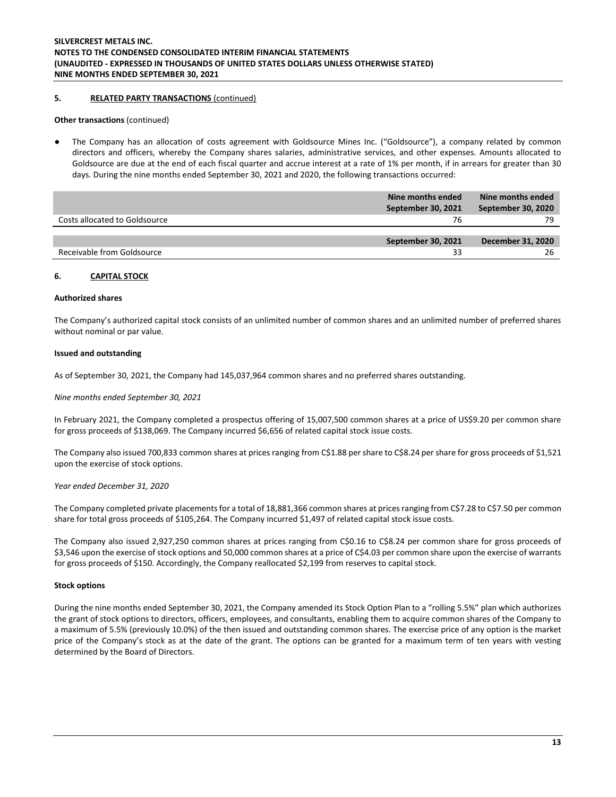## **5. RELATED PARTY TRANSACTIONS** (continued)

#### **Other transactions (continued)**

The Company has an allocation of costs agreement with Goldsource Mines Inc. ("Goldsource"), a company related by common directors and officers, whereby the Company shares salaries, administrative services, and other expenses. Amounts allocated to Goldsource are due at the end of each fiscal quarter and accrue interest at a rate of 1% per month, if in arrears for greater than 30 days. During the nine months ended September 30, 2021 and 2020, the following transactions occurred:

|                               | Nine months ended<br>September 30, 2021 | Nine months ended<br>September 30, 2020 |
|-------------------------------|-----------------------------------------|-----------------------------------------|
| Costs allocated to Goldsource | 76                                      | 79                                      |
|                               | September 30, 2021                      | December 31, 2020                       |
| Receivable from Goldsource    | 33                                      | 26                                      |

## **6. CAPITAL STOCK**

#### **Authorized shares**

The Company's authorized capital stock consists of an unlimited number of common shares and an unlimited number of preferred shares without nominal or par value.

#### **Issued and outstanding**

As of September 30, 2021, the Company had 145,037,964 common shares and no preferred shares outstanding.

*Nine months ended September 30, 2021*

In February 2021, the Company completed a prospectus offering of 15,007,500 common shares at a price of US\$9.20 per common share for gross proceeds of \$138,069. The Company incurred \$6,656 of related capital stock issue costs.

The Company also issued 700,833 common shares at prices ranging from C\$1.88 per share to C\$8.24 per share for gross proceeds of \$1,521 upon the exercise of stock options.

#### *Year ended December 31, 2020*

The Company completed private placements for a total of 18,881,366 common shares at prices ranging from C\$7.28 to C\$7.50 per common share for total gross proceeds of \$105,264. The Company incurred \$1,497 of related capital stock issue costs.

The Company also issued 2,927,250 common shares at prices ranging from C\$0.16 to C\$8.24 per common share for gross proceeds of \$3,546 upon the exercise of stock options and 50,000 common shares at a price of C\$4.03 per common share upon the exercise of warrants for gross proceeds of \$150. Accordingly, the Company reallocated \$2,199 from reserves to capital stock.

#### **Stock options**

During the nine months ended September 30, 2021, the Company amended its Stock Option Plan to a "rolling 5.5%" plan which authorizes the grant of stock options to directors, officers, employees, and consultants, enabling them to acquire common shares of the Company to a maximum of 5.5% (previously 10.0%) of the then issued and outstanding common shares. The exercise price of any option is the market price of the Company's stock as at the date of the grant. The options can be granted for a maximum term of ten years with vesting determined by the Board of Directors.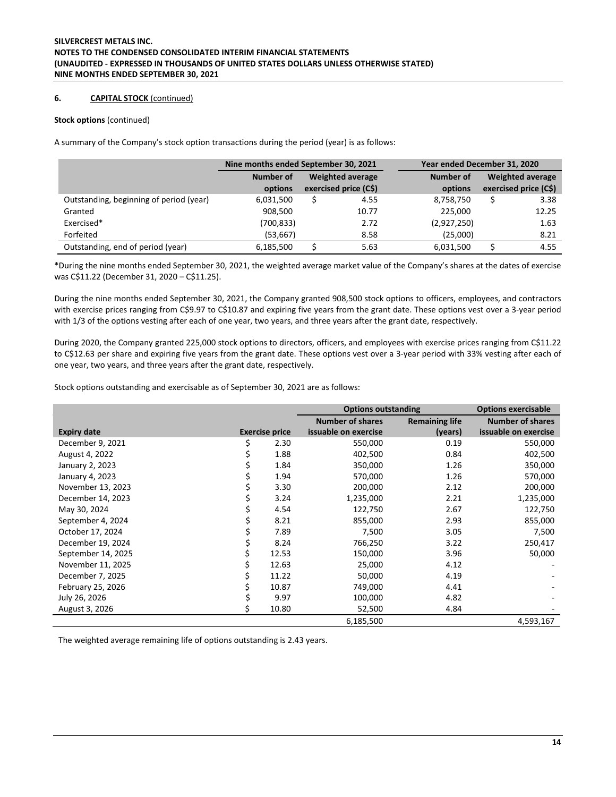# **6. CAPITAL STOCK** (continued)

#### **Stock options** (continued)

A summary of the Company's stock option transactions during the period (year) is as follows:

|                                         | Nine months ended September 30, 2021 |                         | Year ended December 31, 2020 |  |                       |
|-----------------------------------------|--------------------------------------|-------------------------|------------------------------|--|-----------------------|
|                                         | Number of                            | <b>Weighted average</b> | Number of                    |  | Weighted average      |
|                                         | options                              | exercised price (C\$)   | options                      |  | exercised price (C\$) |
| Outstanding, beginning of period (year) | 6,031,500                            | 4.55                    | 8,758,750                    |  | 3.38                  |
| Granted                                 | 908,500                              | 10.77                   | 225.000                      |  | 12.25                 |
| Exercised*                              | (700,833)                            | 2.72                    | (2,927,250)                  |  | 1.63                  |
| Forfeited                               | (53, 667)                            | 8.58                    | (25,000)                     |  | 8.21                  |
| Outstanding, end of period (year)       | 6,185,500                            | 5.63                    | 6,031,500                    |  | 4.55                  |

\*During the nine months ended September 30, 2021, the weighted average market value of the Company's shares at the dates of exercise was C\$11.22 (December 31, 2020 – C\$11.25).

During the nine months ended September 30, 2021, the Company granted 908,500 stock options to officers, employees, and contractors with exercise prices ranging from C\$9.97 to C\$10.87 and expiring five years from the grant date. These options vest over a 3-year period with 1/3 of the options vesting after each of one year, two years, and three years after the grant date, respectively.

During 2020, the Company granted 225,000 stock options to directors, officers, and employees with exercise prices ranging from C\$11.22 to C\$12.63 per share and expiring five years from the grant date. These options vest over a 3-year period with 33% vesting after each of one year, two years, and three years after the grant date, respectively.

Stock options outstanding and exercisable as of September 30, 2021 are as follows:

|                    |    |                       | <b>Options outstanding</b> |                       | <b>Options exercisable</b> |
|--------------------|----|-----------------------|----------------------------|-----------------------|----------------------------|
|                    |    |                       | <b>Number of shares</b>    | <b>Remaining life</b> | <b>Number of shares</b>    |
| <b>Expiry date</b> |    | <b>Exercise price</b> | issuable on exercise       | (years)               | issuable on exercise       |
| December 9, 2021   | \$ | 2.30                  | 550,000                    | 0.19                  | 550,000                    |
| August 4, 2022     |    | 1.88                  | 402,500                    | 0.84                  | 402,500                    |
| January 2, 2023    |    | 1.84                  | 350,000                    | 1.26                  | 350,000                    |
| January 4, 2023    |    | 1.94                  | 570,000                    | 1.26                  | 570,000                    |
| November 13, 2023  |    | 3.30                  | 200,000                    | 2.12                  | 200,000                    |
| December 14, 2023  |    | 3.24                  | 1,235,000                  | 2.21                  | 1,235,000                  |
| May 30, 2024       |    | 4.54                  | 122,750                    | 2.67                  | 122,750                    |
| September 4, 2024  |    | 8.21                  | 855,000                    | 2.93                  | 855,000                    |
| October 17, 2024   |    | 7.89                  | 7,500                      | 3.05                  | 7,500                      |
| December 19, 2024  |    | 8.24                  | 766,250                    | 3.22                  | 250,417                    |
| September 14, 2025 |    | 12.53                 | 150,000                    | 3.96                  | 50,000                     |
| November 11, 2025  | \$ | 12.63                 | 25,000                     | 4.12                  |                            |
| December 7, 2025   | \$ | 11.22                 | 50,000                     | 4.19                  |                            |
| February 25, 2026  | \$ | 10.87                 | 749,000                    | 4.41                  |                            |
| July 26, 2026      |    | 9.97                  | 100,000                    | 4.82                  |                            |
| August 3, 2026     | Ś  | 10.80                 | 52,500                     | 4.84                  |                            |
|                    |    |                       | 6,185,500                  |                       | 4,593,167                  |

The weighted average remaining life of options outstanding is 2.43 years.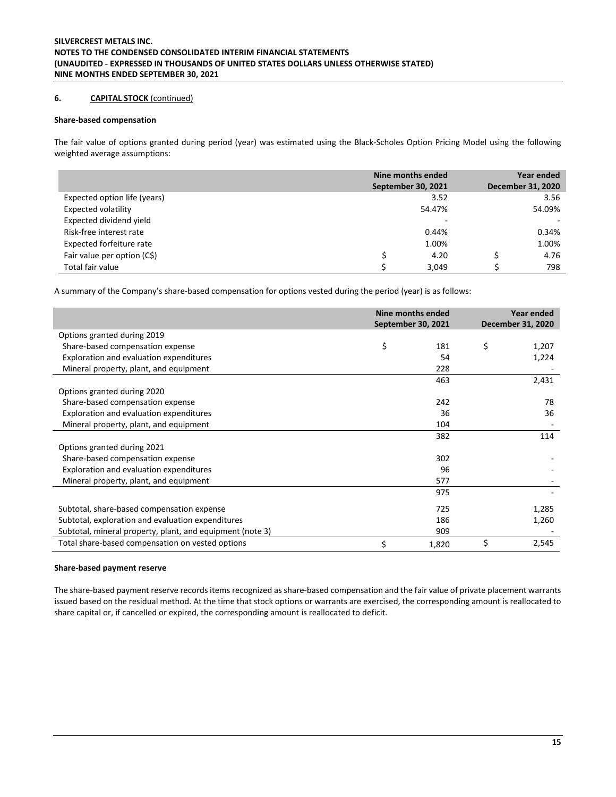# **6. CAPITAL STOCK** (continued)

### **Share-based compensation**

The fair value of options granted during period (year) was estimated using the Black-Scholes Option Pricing Model using the following weighted average assumptions:

|                              | Nine months ended<br><b>September 30, 2021</b> |       | Year ended<br><b>December 31, 2020</b> |
|------------------------------|------------------------------------------------|-------|----------------------------------------|
| Expected option life (years) |                                                | 3.52  | 3.56                                   |
| <b>Expected volatility</b>   | 54.47%                                         |       | 54.09%                                 |
| Expected dividend yield      |                                                | ۰     |                                        |
| Risk-free interest rate      |                                                | 0.44% | 0.34%                                  |
| Expected forfeiture rate     |                                                | 1.00% | 1.00%                                  |
| Fair value per option (C\$)  |                                                | 4.20  | 4.76                                   |
| Total fair value             | c                                              | 3.049 | 798                                    |

A summary of the Company's share-based compensation for options vested during the period (year) is as follows:

|                                                           |    | Nine months ended<br>September 30, 2021 | Year ended<br><b>December 31, 2020</b> |
|-----------------------------------------------------------|----|-----------------------------------------|----------------------------------------|
| Options granted during 2019                               |    |                                         |                                        |
| Share-based compensation expense                          | \$ | 181                                     | \$<br>1,207                            |
| Exploration and evaluation expenditures                   |    | 54                                      | 1,224                                  |
| Mineral property, plant, and equipment                    |    | 228                                     |                                        |
|                                                           |    | 463                                     | 2,431                                  |
| Options granted during 2020                               |    |                                         |                                        |
| Share-based compensation expense                          |    | 242                                     | 78                                     |
| Exploration and evaluation expenditures                   |    | 36                                      | 36                                     |
| Mineral property, plant, and equipment                    |    | 104                                     |                                        |
|                                                           |    | 382                                     | 114                                    |
| Options granted during 2021                               |    |                                         |                                        |
| Share-based compensation expense                          |    | 302                                     |                                        |
| Exploration and evaluation expenditures                   |    | 96                                      |                                        |
| Mineral property, plant, and equipment                    |    | 577                                     |                                        |
|                                                           |    | 975                                     |                                        |
| Subtotal, share-based compensation expense                |    | 725                                     | 1,285                                  |
| Subtotal, exploration and evaluation expenditures         |    | 186                                     | 1,260                                  |
| Subtotal, mineral property, plant, and equipment (note 3) |    | 909                                     |                                        |
| Total share-based compensation on vested options          | Ś. | 1,820                                   | \$<br>2,545                            |

#### **Share-based payment reserve**

The share-based payment reserve records items recognized as share-based compensation and the fair value of private placement warrants issued based on the residual method. At the time that stock options or warrants are exercised, the corresponding amount is reallocated to share capital or, if cancelled or expired, the corresponding amount is reallocated to deficit.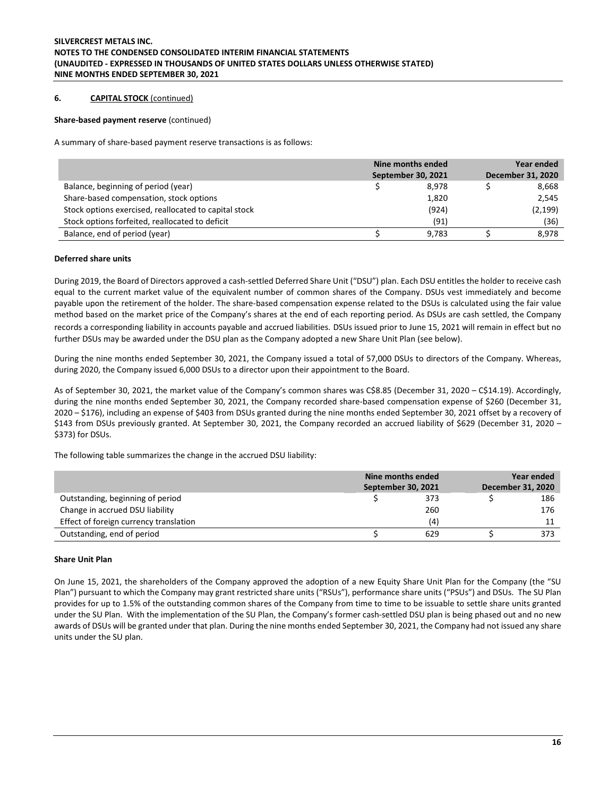## **6. CAPITAL STOCK** (continued)

#### **Share-based payment reserve** (continued)

A summary of share-based payment reserve transactions is as follows:

|                                                       | Nine months ended | Year ended                |  |                   |
|-------------------------------------------------------|-------------------|---------------------------|--|-------------------|
|                                                       |                   | <b>September 30, 2021</b> |  | December 31, 2020 |
| Balance, beginning of period (year)                   |                   | 8.978                     |  | 8,668             |
| Share-based compensation, stock options               |                   | 1,820                     |  | 2,545             |
| Stock options exercised, reallocated to capital stock |                   | (924)                     |  | (2, 199)          |
| Stock options forfeited, reallocated to deficit       |                   | (91)                      |  | (36)              |
| Balance, end of period (year)                         |                   | 9.783                     |  | 8.978             |

## **Deferred share units**

During 2019, the Board of Directors approved a cash-settled Deferred Share Unit ("DSU") plan. Each DSU entitles the holder to receive cash equal to the current market value of the equivalent number of common shares of the Company. DSUs vest immediately and become payable upon the retirement of the holder. The share-based compensation expense related to the DSUs is calculated using the fair value method based on the market price of the Company's shares at the end of each reporting period. As DSUs are cash settled, the Company records a corresponding liability in accounts payable and accrued liabilities. DSUs issued prior to June 15, 2021 will remain in effect but no further DSUs may be awarded under the DSU plan as the Company adopted a new Share Unit Plan (see below).

During the nine months ended September 30, 2021, the Company issued a total of 57,000 DSUs to directors of the Company. Whereas, during 2020, the Company issued 6,000 DSUs to a director upon their appointment to the Board.

As of September 30, 2021, the market value of the Company's common shares was C\$8.85 (December 31, 2020 – C\$14.19). Accordingly, during the nine months ended September 30, 2021, the Company recorded share-based compensation expense of \$260 (December 31, 2020 – \$176), including an expense of \$403 from DSUs granted during the nine months ended September 30, 2021 offset by a recovery of \$143 from DSUs previously granted. At September 30, 2021, the Company recorded an accrued liability of \$629 (December 31, 2020 – \$373) for DSUs.

The following table summarizes the change in the accrued DSU liability:

|                                        | Nine months ended         | Year ended |                   |  |
|----------------------------------------|---------------------------|------------|-------------------|--|
|                                        | <b>September 30, 2021</b> |            | December 31, 2020 |  |
| Outstanding, beginning of period       | 373                       |            | 186               |  |
| Change in accrued DSU liability        | 260                       |            | 176               |  |
| Effect of foreign currency translation | (4)                       |            |                   |  |
| Outstanding, end of period             | 629                       |            | 373               |  |

#### **Share Unit Plan**

On June 15, 2021, the shareholders of the Company approved the adoption of a new Equity Share Unit Plan for the Company (the "SU Plan") pursuant to which the Company may grant restricted share units ("RSUs"), performance share units ("PSUs") and DSUs. The SU Plan provides for up to 1.5% of the outstanding common shares of the Company from time to time to be issuable to settle share units granted under the SU Plan. With the implementation of the SU Plan, the Company's former cash-settled DSU plan is being phased out and no new awards of DSUs will be granted under that plan. During the nine months ended September 30, 2021, the Company had not issued any share units under the SU plan.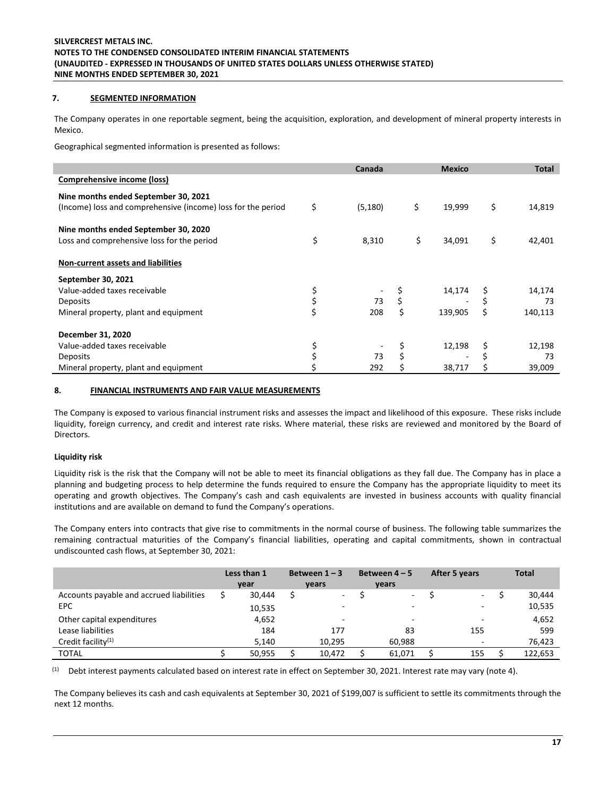# **7. SEGMENTED INFORMATION**

The Company operates in one reportable segment, being the acquisition, exploration, and development of mineral property interests in Mexico.

Geographical segmented information is presented as follows:

|                                                              | Canada         | <b>Mexico</b> | <b>Total</b>  |
|--------------------------------------------------------------|----------------|---------------|---------------|
| Comprehensive income (loss)                                  |                |               |               |
| Nine months ended September 30, 2021                         |                |               |               |
| (Income) loss and comprehensive (income) loss for the period | \$<br>(5, 180) | \$<br>19,999  | \$<br>14,819  |
| Nine months ended September 30, 2020                         |                |               |               |
| Loss and comprehensive loss for the period                   | \$<br>8,310    | \$<br>34,091  | \$<br>42,401  |
| Non-current assets and liabilities                           |                |               |               |
| September 30, 2021                                           |                |               |               |
| Value-added taxes receivable                                 |                | 14,174        | 14,174        |
| Deposits                                                     | 73             |               | 73            |
| Mineral property, plant and equipment                        | 208            | \$<br>139,905 | \$<br>140,113 |
| December 31, 2020                                            |                |               |               |
| Value-added taxes receivable                                 |                | 12,198        | \$<br>12,198  |
| Deposits                                                     | 73             |               | 73            |
| Mineral property, plant and equipment                        | 292            | 38,717        | 39,009        |

# **8. FINANCIAL INSTRUMENTS AND FAIR VALUE MEASUREMENTS**

The Company is exposed to various financial instrument risks and assesses the impact and likelihood of this exposure. These risks include liquidity, foreign currency, and credit and interest rate risks. Where material, these risks are reviewed and monitored by the Board of Directors.

# **Liquidity risk**

Liquidity risk is the risk that the Company will not be able to meet its financial obligations as they fall due. The Company has in place a planning and budgeting process to help determine the funds required to ensure the Company has the appropriate liquidity to meet its operating and growth objectives. The Company's cash and cash equivalents are invested in business accounts with quality financial institutions and are available on demand to fund the Company's operations.

The Company enters into contracts that give rise to commitments in the normal course of business. The following table summarizes the remaining contractual maturities of the Company's financial liabilities, operating and capital commitments, shown in contractual undiscounted cash flows, at September 30, 2021:

|                                          | Less than 1 | Between $1 - 3$ |  | Between $4-5$ |  | After 5 years            |  | <b>Total</b> |
|------------------------------------------|-------------|-----------------|--|---------------|--|--------------------------|--|--------------|
|                                          | year        | years           |  | <b>vears</b>  |  |                          |  |              |
| Accounts payable and accrued liabilities | 30.444      | $\sim$          |  | $\sim$        |  | ٠                        |  | 30,444       |
| <b>EPC</b>                               | 10,535      | -               |  | -             |  | $\sim$                   |  | 10,535       |
| Other capital expenditures               | 4,652       | -               |  | -             |  | -                        |  | 4,652        |
| Lease liabilities                        | 184         | 177             |  | 83            |  | 155                      |  | 599          |
| Credit facility <sup>(1)</sup>           | 5.140       | 10.295          |  | 60.988        |  | $\overline{\phantom{a}}$ |  | 76,423       |
| <b>TOTAL</b>                             | 50.955      | 10.472          |  | 61.071        |  | 155                      |  | 122,653      |

 $(1)$  Debt interest payments calculated based on interest rate in effect on September 30, 2021. Interest rate may vary (note 4).

The Company believes its cash and cash equivalents at September 30, 2021 of \$199,007 is sufficient to settle its commitments through the next 12 months.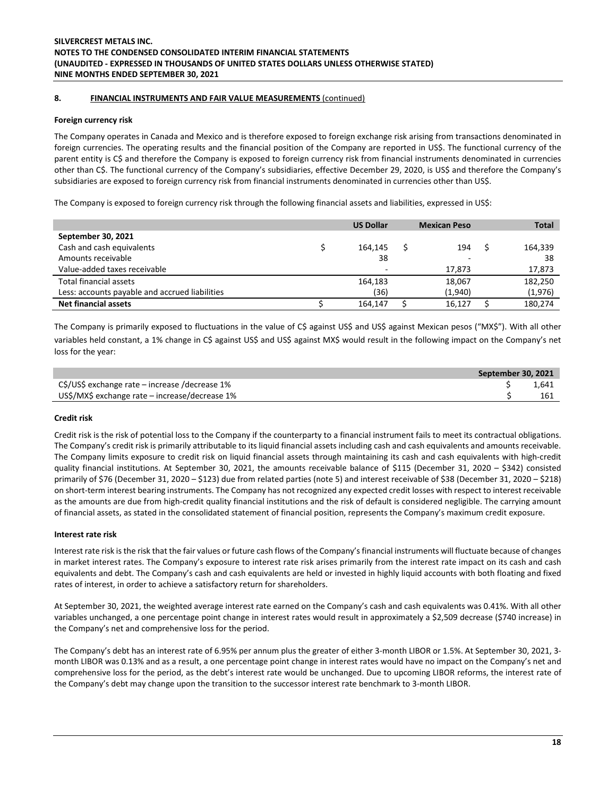# **8. FINANCIAL INSTRUMENTS AND FAIR VALUE MEASUREMENTS** (continued)

# **Foreign currency risk**

The Company operates in Canada and Mexico and is therefore exposed to foreign exchange risk arising from transactions denominated in foreign currencies. The operating results and the financial position of the Company are reported in US\$. The functional currency of the parent entity is C\$ and therefore the Company is exposed to foreign currency risk from financial instruments denominated in currencies other than C\$. The functional currency of the Company's subsidiaries, effective December 29, 2020, is US\$ and therefore the Company's subsidiaries are exposed to foreign currency risk from financial instruments denominated in currencies other than US\$.

The Company is exposed to foreign currency risk through the following financial assets and liabilities, expressed in US\$:

|                                                | <b>US Dollar</b> | <b>Mexican Peso</b>      | <b>Total</b> |         |  |
|------------------------------------------------|------------------|--------------------------|--------------|---------|--|
| September 30, 2021                             |                  |                          |              |         |  |
| Cash and cash equivalents                      | 164.145          | 194                      |              | 164,339 |  |
| Amounts receivable                             | 38               | $\overline{\phantom{0}}$ |              | 38      |  |
| Value-added taxes receivable                   |                  | 17.873                   |              | 17,873  |  |
| Total financial assets                         | 164.183          | 18,067                   |              | 182,250 |  |
| Less: accounts payable and accrued liabilities | (36)             | (1,940)                  |              | (1,976) |  |
| <b>Net financial assets</b>                    | 164,147          | 16,127                   |              | 180,274 |  |

The Company is primarily exposed to fluctuations in the value of C\$ against US\$ and US\$ against Mexican pesos ("MX\$"). With all other variables held constant, a 1% change in C\$ against US\$ and US\$ against MX\$ would result in the following impact on the Company's net loss for the year:

|                                                | September 30, 2021 |       |  |
|------------------------------------------------|--------------------|-------|--|
| C\$/US\$ exchange rate – increase /decrease 1% |                    | 1.641 |  |
| US\$/MX\$ exchange rate – increase/decrease 1% |                    | 161   |  |

# **Credit risk**

Credit risk is the risk of potential loss to the Company if the counterparty to a financial instrument fails to meet its contractual obligations. The Company's credit risk is primarily attributable to its liquid financial assets including cash and cash equivalents and amounts receivable. The Company limits exposure to credit risk on liquid financial assets through maintaining its cash and cash equivalents with high-credit quality financial institutions. At September 30, 2021, the amounts receivable balance of \$115 (December 31, 2020 – \$342) consisted primarily of \$76 (December 31, 2020 – \$123) due from related parties (note 5) and interest receivable of \$38 (December 31, 2020 – \$218) on short-term interest bearing instruments. The Company has not recognized any expected credit losses with respect to interest receivable as the amounts are due from high-credit quality financial institutions and the risk of default is considered negligible. The carrying amount of financial assets, as stated in the consolidated statement of financial position, represents the Company's maximum credit exposure.

#### **Interest rate risk**

Interest rate risk is the risk that the fair values or future cash flows of the Company's financial instruments will fluctuate because of changes in market interest rates. The Company's exposure to interest rate risk arises primarily from the interest rate impact on its cash and cash equivalents and debt. The Company's cash and cash equivalents are held or invested in highly liquid accounts with both floating and fixed rates of interest, in order to achieve a satisfactory return for shareholders.

At September 30, 2021, the weighted average interest rate earned on the Company's cash and cash equivalents was 0.41%. With all other variables unchanged, a one percentage point change in interest rates would result in approximately a \$2,509 decrease (\$740 increase) in the Company's net and comprehensive loss for the period.

The Company's debt has an interest rate of 6.95% per annum plus the greater of either 3-month LIBOR or 1.5%. At September 30, 2021, 3 month LIBOR was 0.13% and as a result, a one percentage point change in interest rates would have no impact on the Company's net and comprehensive loss for the period, as the debt's interest rate would be unchanged. Due to upcoming LIBOR reforms, the interest rate of the Company's debt may change upon the transition to the successor interest rate benchmark to 3-month LIBOR.